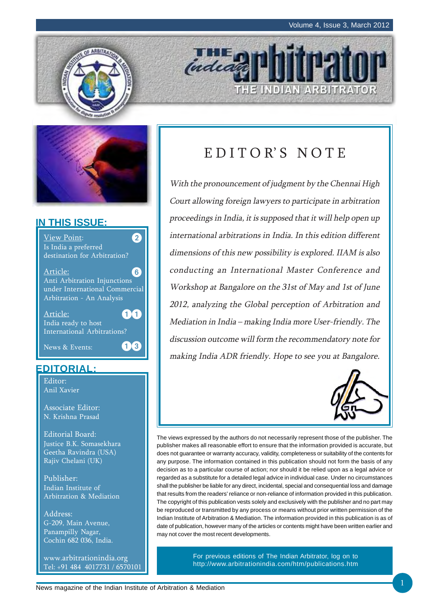



#### **IN THIS ISSUE:**



#### **EDITORIAL:**

Editor: Anil Xavier

Associate Editor: N. Krishna Prasad

Editorial Board: Justice B.K. Somasekhara Geetha Ravindra (USA) Rajiv Chelani (UK)

Publisher: Indian Institute of Arbitration & Mediation

Address: G-209, Main Avenue, Panampilly Nagar, Cochin 682 036, India.

www.arbitrationindia.org Tel: +91 484 4017731 / 6570101

# EDITOR'S NOTE

THE INDIAN ARBITRATOR

*IHE* 

With the pronouncement of judgment by the Chennai High Court allowing foreign lawyers to participate in arbitration proceedings in India, it is supposed that it will help open up international arbitrations in India. In this edition different dimensions of this new possibility is explored. IIAM is also conducting an International Master Conference and Workshop at Bangalore on the 31st of May and 1st of June 2012, analyzing the Global perception of Arbitration and Mediation in India – making India more User-friendly. The discussion outcome will form the recommendatory note for making India ADR friendly. Hope to see you at Bangalore.



The views expressed by the authors do not necessarily represent those of the publisher. The publisher makes all reasonable effort to ensure that the information provided is accurate, but does not guarantee or warranty accuracy, validity, completeness or suitability of the contents for any purpose. The information contained in this publication should not form the basis of any decision as to a particular course of action; nor should it be relied upon as a legal advice or regarded as a substitute for a detailed legal advice in individual case. Under no circumstances shall the publisher be liable for any direct, incidental, special and consequential loss and damage that results from the readers' reliance or non-reliance of information provided in this publication. The copyright of this publication vests solely and exclusively with the publisher and no part may be reproduced or transmitted by any process or means without prior written permission of the Indian Institute of Arbitration & Mediation. The information provided in this publication is as of date of publication, however many of the articles or contents might have been written earlier and may not cover the most recent developments.

> For previous editions of The Indian Arbitrator, log on to http://www.arbitrationindia.com/htm/publications.htm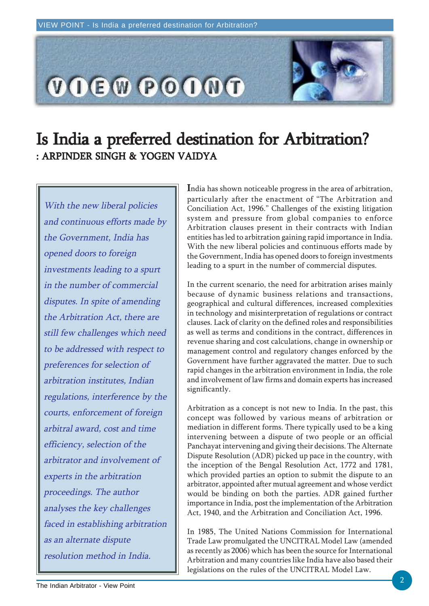

## Is India a preferred destination for Arbitration? : ARPINDER SINGH & YOGEN VAIDYA

With the new liberal policies and continuous efforts made by the Government, India has opened doors to foreign investments leading to a spurt in the number of commercial disputes. In spite of amending the Arbitration Act, there are still few challenges which need to be addressed with respect to preferences for selection of arbitration institutes, Indian regulations, interference by the courts, enforcement of foreign arbitral award, cost and time efficiency, selection of the arbitrator and involvement of experts in the arbitration proceedings. The author analyses the key challenges faced in establishing arbitration as an alternate dispute resolution method in India.

India has shown noticeable progress in the area of arbitration, particularly after the enactment of "The Arbitration and Conciliation Act, 1996." Challenges of the existing litigation system and pressure from global companies to enforce Arbitration clauses present in their contracts with Indian entities has led to arbitration gaining rapid importance in India. With the new liberal policies and continuous efforts made by the Government, India has opened doors to foreign investments leading to a spurt in the number of commercial disputes.

In the current scenario, the need for arbitration arises mainly because of dynamic business relations and transactions, geographical and cultural differences, increased complexities in technology and misinterpretation of regulations or contract clauses. Lack of clarity on the defined roles and responsibilities as well as terms and conditions in the contract, differences in revenue sharing and cost calculations, change in ownership or management control and regulatory changes enforced by the Government have further aggravated the matter. Due to such rapid changes in the arbitration environment in India, the role and involvement of law firms and domain experts has increased significantly.

Arbitration as a concept is not new to India. In the past, this concept was followed by various means of arbitration or mediation in different forms. There typically used to be a king intervening between a dispute of two people or an official Panchayat intervening and giving their decisions. The Alternate Dispute Resolution (ADR) picked up pace in the country, with the inception of the Bengal Resolution Act, 1772 and 1781, which provided parties an option to submit the dispute to an arbitrator, appointed after mutual agreement and whose verdict would be binding on both the parties. ADR gained further importance in India, post the implementation of the Arbitration Act, 1940, and the Arbitration and Conciliation Act, 1996.

In 1985, The United Nations Commission for International Trade Law promulgated the UNCITRAL Model Law (amended as recently as 2006) which has been the source for International Arbitration and many countries like India have also based their legislations on the rules of the UNCITRAL Model Law.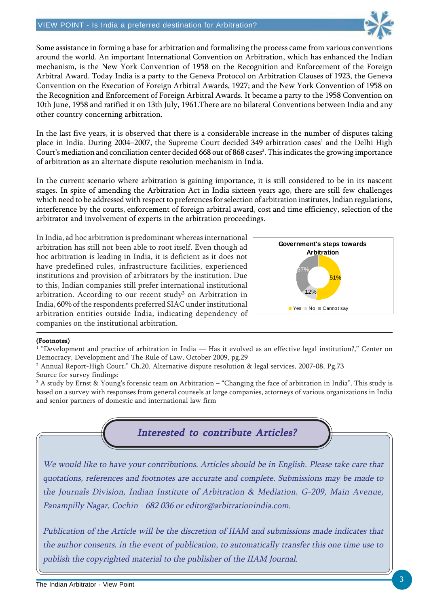

Some assistance in forming a base for arbitration and formalizing the process came from various conventions around the world. An important International Convention on Arbitration, which has enhanced the Indian mechanism, is the New York Convention of 1958 on the Recognition and Enforcement of the Foreign Arbitral Award. Today India is a party to the Geneva Protocol on Arbitration Clauses of 1923, the Geneva Convention on the Execution of Foreign Arbitral Awards, 1927; and the New York Convention of 1958 on the Recognition and Enforcement of Foreign Arbitral Awards. It became a party to the 1958 Convention on 10th June, 1958 and ratified it on 13th July, 1961.There are no bilateral Conventions between India and any other country concerning arbitration.

In the last five years, it is observed that there is a considerable increase in the number of disputes taking place in India. During 2004–2007, the Supreme Court decided 349 arbitration cases<sup>1</sup> and the Delhi High Court's mediation and conciliation center decided 668 out of 868 cases<sup>2</sup>. This indicates the growing importance of arbitration as an alternate dispute resolution mechanism in India.

In the current scenario where arbitration is gaining importance, it is still considered to be in its nascent stages. In spite of amending the Arbitration Act in India sixteen years ago, there are still few challenges which need to be addressed with respect to preferences for selection of arbitration institutes, Indian regulations, interference by the courts, enforcement of foreign arbitral award, cost and time efficiency, selection of the arbitrator and involvement of experts in the arbitration proceedings.

In India, ad hoc arbitration is predominant whereas international arbitration has still not been able to root itself. Even though ad hoc arbitration is leading in India, it is deficient as it does not have predefined rules, infrastructure facilities, experienced institutions and provision of arbitrators by the institution. Due to this, Indian companies still prefer international institutional arbitration. According to our recent study<sup>3</sup> on Arbitration in India, 60% of the respondents preferred SIAC under institutional arbitration entities outside India, indicating dependency of companies on the institutional arbitration.



#### (Footnotes)

1 "Development and practice of arbitration in India — Has it evolved as an effective legal institution?," Center on Democracy, Development and The Rule of Law, October 2009, pg.29

 $^{\rm 2}$  Annual Report-High Court," Ch.20. Alternative dispute resolution & legal services, 2007-08, Pg.73 Source for survey findings:

 $^3$  A study by Ernst & Young's forensic team on Arbitration – "Changing the face of arbitration in India". This study is based on a survey with responses from general counsels at large companies, attorneys of various organizations in India and senior partners of domestic and international law firm



We would like to have your contributions. Articles should be in English. Please take care that quotations, references and footnotes are accurate and complete. Submissions may be made to the Journals Division, Indian Institute of Arbitration & Mediation, G-209, Main Avenue, Panampilly Nagar, Cochin - 682 036 or editor@arbitrationindia.com.

Publication of the Article will be the discretion of IIAM and submissions made indicates that the author consents, in the event of publication, to automatically transfer this one time use to publish the copyrighted material to the publisher of the IIAM Journal.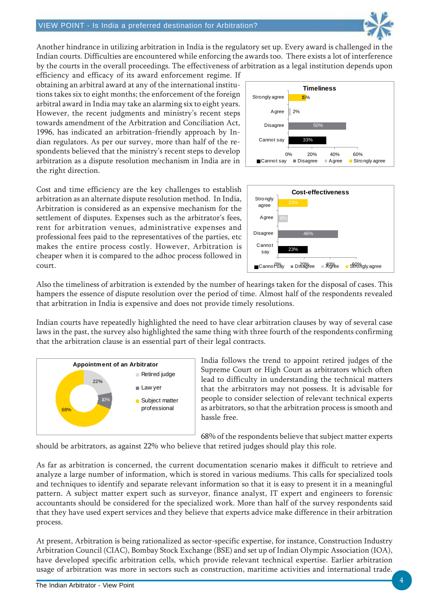

Another hindrance in utilizing arbitration in India is the regulatory set up. Every award is challenged in the Indian courts. Difficulties are encountered while enforcing the awards too. There exists a lot of interference by the courts in the overall proceedings. The effectiveness of arbitration as a legal institution depends upon

efficiency and efficacy of its award enforcement regime. If obtaining an arbitral award at any of the international institutions takes six to eight months; the enforcement of the foreign arbitral award in India may take an alarming six to eight years. However, the recent judgments and ministry's recent steps towards amendment of the Arbitration and Conciliation Act, 1996, has indicated an arbitration-friendly approach by Indian regulators. As per our survey, more than half of the respondents believed that the ministry's recent steps to develop arbitration as a dispute resolution mechanism in India are in the right direction.



Cost and time efficiency are the key challenges to establish arbitration as an alternate dispute resolution method. In India, Arbitration is considered as an expensive mechanism for the settlement of disputes. Expenses such as the arbitrator's fees, rent for arbitration venues, administrative expenses and professional fees paid to the representatives of the parties, etc makes the entire process costly. However, Arbitration is cheaper when it is compared to the adhoc process followed in court.



Also the timeliness of arbitration is extended by the number of hearings taken for the disposal of cases. This hampers the essence of dispute resolution over the period of time. Almost half of the respondents revealed that arbitration in India is expensive and does not provide timely resolutions.

Indian courts have repeatedly highlighted the need to have clear arbitration clauses by way of several case laws in the past, the survey also highlighted the same thing with three fourth of the respondents confirming that the arbitration clause is an essential part of their legal contracts.



India follows the trend to appoint retired judges of the Supreme Court or High Court as arbitrators which often lead to difficulty in understanding the technical matters that the arbitrators may not possess. It is advisable for people to consider selection of relevant technical experts as arbitrators, so that the arbitration process is smooth and hassle free.

68% of the respondents believe that subject matter experts should be arbitrators, as against 22% who believe that retired judges should play this role.

As far as arbitration is concerned, the current documentation scenario makes it difficult to retrieve and analyze a large number of information, which is stored in various mediums. This calls for specialized tools and techniques to identify and separate relevant information so that it is easy to present it in a meaningful pattern. A subject matter expert such as surveyor, finance analyst, IT expert and engineers to forensic accountants should be considered for the specialized work. More than half of the survey respondents said that they have used expert services and they believe that experts advice make difference in their arbitration process.

At present, Arbitration is being rationalized as sector-specific expertise, for instance, Construction Industry Arbitration Council (CIAC), Bombay Stock Exchange (BSE) and set up of Indian Olympic Association (IOA), have developed specific arbitration cells, which provide relevant technical expertise. Earlier arbitration usage of arbitration was more in sectors such as construction, maritime activities and international trade.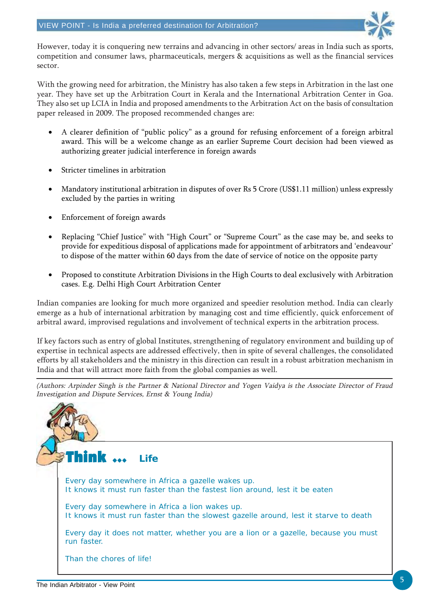

However, today it is conquering new terrains and advancing in other sectors/ areas in India such as sports, competition and consumer laws, pharmaceuticals, mergers & acquisitions as well as the financial services sector.

With the growing need for arbitration, the Ministry has also taken a few steps in Arbitration in the last one year. They have set up the Arbitration Court in Kerala and the International Arbitration Center in Goa. They also set up LCIA in India and proposed amendments to the Arbitration Act on the basis of consultation paper released in 2009. The proposed recommended changes are:

- A clearer definition of "public policy" as a ground for refusing enforcement of a foreign arbitral award. This will be a welcome change as an earlier Supreme Court decision had been viewed as authorizing greater judicial interference in foreign awards
- Stricter timelines in arbitration
- Mandatory institutional arbitration in disputes of over Rs 5 Crore (US\$1.11 million) unless expressly excluded by the parties in writing
- Enforcement of foreign awards
- Replacing "Chief Justice" with "High Court" or "Supreme Court" as the case may be, and seeks to provide for expeditious disposal of applications made for appointment of arbitrators and 'endeavour' to dispose of the matter within 60 days from the date of service of notice on the opposite party
- Proposed to constitute Arbitration Divisions in the High Courts to deal exclusively with Arbitration cases. E.g. Delhi High Court Arbitration Center

Indian companies are looking for much more organized and speedier resolution method. India can clearly emerge as a hub of international arbitration by managing cost and time efficiently, quick enforcement of arbitral award, improvised regulations and involvement of technical experts in the arbitration process.

If key factors such as entry of global Institutes, strengthening of regulatory environment and building up of expertise in technical aspects are addressed effectively, then in spite of several challenges, the consolidated efforts by all stakeholders and the ministry in this direction can result in a robust arbitration mechanism in India and that will attract more faith from the global companies as well.

(Authors: Arpinder Singh is the Partner & National Director and Yogen Vaidya is the Associate Director of Fraud Investigation and Dispute Services, Ernst & Young India)

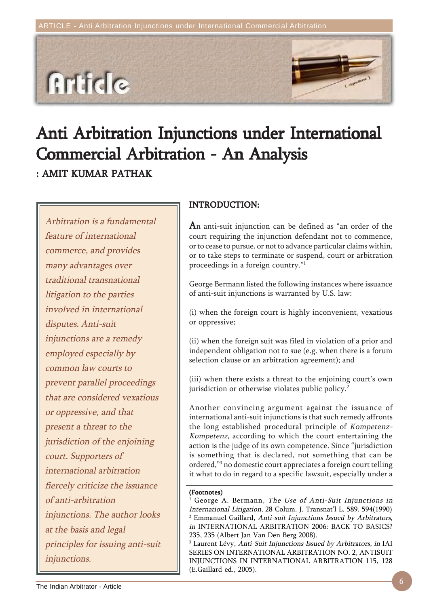

# Anti Arbitration Injunctions under International Commercial Arbitration - An Analysis

: AMIT KUMAR PATHAK

Arbitration is a fundamental feature of international commerce, and provides many advantages over traditional transnational litigation to the parties involved in international disputes. Anti-suit injunctions are a remedy employed especially by common law courts to prevent parallel proceedings that are considered vexatious or oppressive, and that present a threat to the jurisdiction of the enjoining court. Supporters of international arbitration fiercely criticize the issuance of anti-arbitration injunctions. The author looks at the basis and legal principles for issuing anti-suit injunctions.

#### INTRODUCTION: INTRODUCTION:

An anti-suit injunction can be defined as "an order of the court requiring the injunction defendant not to commence, or to cease to pursue, or not to advance particular claims within, or to take steps to terminate or suspend, court or arbitration proceedings in a foreign country."1

George Bermann listed the following instances where issuance of anti-suit injunctions is warranted by U.S. law:

(i) when the foreign court is highly inconvenient, vexatious or oppressive;

(ii) when the foreign suit was filed in violation of a prior and independent obligation not to sue (e.g. when there is a forum selection clause or an arbitration agreement); and

(iii) when there exists a threat to the enjoining court's own jurisdiction or otherwise violates public policy.<sup>2</sup>

Another convincing argument against the issuance of international anti-suit injunctions is that such remedy affronts the long established procedural principle of Kompetenz-Kompetenz, according to which the court entertaining the action is the judge of its own competence. Since "jurisdiction is something that is declared, not something that can be ordered,"3 no domestic court appreciates a foreign court telling it what to do in regard to a specific lawsuit, especially under a

#### (Footnotes)

1 George A. Bermann, The Use of Anti-Suit Injunctions in International Litigation, 28 Colum. J. Transnat'l L. 589, 594(1990)  $^{\rm 2}$  Emmanuel Gaillard, Anti-suit Injunctions Issued by Arbitrators, in INTERNATIONAL ARBITRATION 2006: BACK TO BASICS? 235, 235 (Albert Jan Van Den Berg 2008).

 $^{\rm 3}$  Laurent Lévy, *Anti-Suit Injunctions Issued by Arbitrators*, *in* IAI SERIES ON INTERNATIONAL ARBITRATION NO. 2, ANTISUIT INJUNCTIONS IN INTERNATIONAL ARBITRATION 115, 128 (E.Gaillard ed., 2005).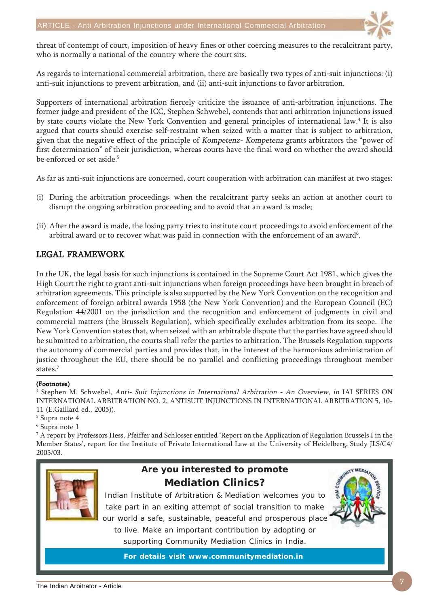

threat of contempt of court, imposition of heavy fines or other coercing measures to the recalcitrant party, who is normally a national of the country where the court sits.

As regards to international commercial arbitration, there are basically two types of anti-suit injunctions: (i) anti-suit injunctions to prevent arbitration, and (ii) anti-suit injunctions to favor arbitration.

Supporters of international arbitration fiercely criticize the issuance of anti-arbitration injunctions. The former judge and president of the ICC, Stephen Schwebel, contends that anti arbitration injunctions issued by state courts violate the New York Convention and general principles of international law.<sup>4</sup> It is also argued that courts should exercise self-restraint when seized with a matter that is subject to arbitration, given that the negative effect of the principle of Kompetenz- Kompetenz grants arbitrators the "power of first determination" of their jurisdiction, whereas courts have the final word on whether the award should be enforced or set aside.<sup>5</sup>

As far as anti-suit injunctions are concerned, court cooperation with arbitration can manifest at two stages:

- (i) During the arbitration proceedings, when the recalcitrant party seeks an action at another court to disrupt the ongoing arbitration proceeding and to avoid that an award is made;
- (ii) After the award is made, the losing party tries to institute court proceedings to avoid enforcement of the arbitral award or to recover what was paid in connection with the enforcement of an award $^6\!$

#### LEGAL FRAMEWORK

In the UK, the legal basis for such injunctions is contained in the Supreme Court Act 1981, which gives the High Court the right to grant anti-suit injunctions when foreign proceedings have been brought in breach of arbitration agreements. This principle is also supported by the New York Convention on the recognition and enforcement of foreign arbitral awards 1958 (the New York Convention) and the European Council (EC) Regulation 44/2001 on the jurisdiction and the recognition and enforcement of judgments in civil and commercial matters (the Brussels Regulation), which specifically excludes arbitration from its scope. The New York Convention states that, when seized with an arbitrable dispute that the parties have agreed should be submitted to arbitration, the courts shall refer the parties to arbitration. The Brussels Regulation supports the autonomy of commercial parties and provides that, in the interest of the harmonious administration of justice throughout the EU, there should be no parallel and conflicting proceedings throughout member states.7

#### (Footnotes)

4 Stephen M. Schwebel, Anti- Suit Injunctions in International Arbitration - An Overview, in IAI SERIES ON INTERNATIONAL ARBITRATION NO. 2, ANTISUIT INJUNCTIONS IN INTERNATIONAL ARBITRATION 5, 10- 11 (E.Gaillard ed., 2005)).

- 5 Supra note 4
- 6 Supra note 1

 $^7$  A report by Professors Hess, Pfeiffer and Schlosser entitled 'Report on the Application of Regulation Brussels I in the Member States', report for the Institute of Private International Law at the University of Heidelberg, Study JLS/C4/ 2005/03.



#### **Are you interested to promote Mediation Clinics?**

Indian Institute of Arbitration & Mediation welcomes you to take part in an exiting attempt of social transition to make our world a safe, sustainable, peaceful and prosperous place to live. Make an important contribution by adopting or supporting Community Mediation Clinics in India.

**For details visit www.communitymediation.in**

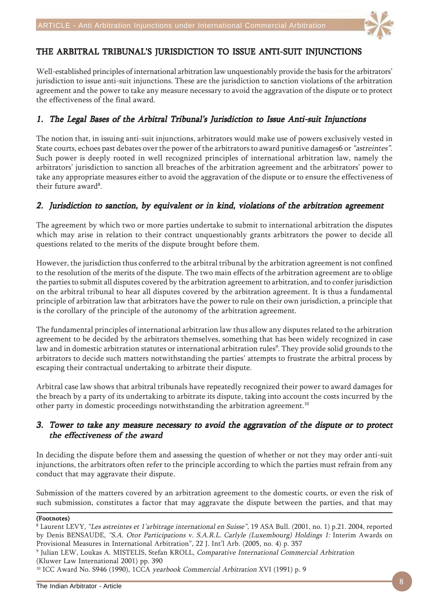

#### THE ARBITRAL TRIBUNAL'S JURISDICTION TO ISSUE ANTI-SUIT INJUNCTIONS

Well-established principles of international arbitration law unquestionably provide the basis for the arbitrators' jurisdiction to issue anti-suit injunctions. These are the jurisdiction to sanction violations of the arbitration agreement and the power to take any measure necessary to avoid the aggravation of the dispute or to protect the effectiveness of the final award.

#### 1. The Legal Bases of the Arbitral Tribunal's Jurisdiction to Issue Anti-suit Injunctions

The notion that, in issuing anti-suit injunctions, arbitrators would make use of powers exclusively vested in State courts, echoes past debates over the power of the arbitrators to award punitive damages6 or "astreintes". Such power is deeply rooted in well recognized principles of international arbitration law, namely the arbitrators' jurisdiction to sanction all breaches of the arbitration agreement and the arbitrators' power to take any appropriate measures either to avoid the aggravation of the dispute or to ensure the effectiveness of their future award<sup>8</sup>.

#### 2. Jurisdiction to sanction, by equivalent or in kind, violations of the arbitration agreement

The agreement by which two or more parties undertake to submit to international arbitration the disputes which may arise in relation to their contract unquestionably grants arbitrators the power to decide all questions related to the merits of the dispute brought before them.

However, the jurisdiction thus conferred to the arbitral tribunal by the arbitration agreement is not confined to the resolution of the merits of the dispute. The two main effects of the arbitration agreement are to oblige the parties to submit all disputes covered by the arbitration agreement to arbitration, and to confer jurisdiction on the arbitral tribunal to hear all disputes covered by the arbitration agreement. It is thus a fundamental principle of arbitration law that arbitrators have the power to rule on their own jurisdiction, a principle that is the corollary of the principle of the autonomy of the arbitration agreement.

The fundamental principles of international arbitration law thus allow any disputes related to the arbitration agreement to be decided by the arbitrators themselves, something that has been widely recognized in case law and in domestic arbitration statutes or international arbitration rules<sup>9</sup>. They provide solid grounds to the arbitrators to decide such matters notwithstanding the parties' attempts to frustrate the arbitral process by escaping their contractual undertaking to arbitrate their dispute.

Arbitral case law shows that arbitral tribunals have repeatedly recognized their power to award damages for the breach by a party of its undertaking to arbitrate its dispute, taking into account the costs incurred by the other party in domestic proceedings notwithstanding the arbitration agreement.10

#### 3. Tower to take any measure necessary to avoid the aggravation of the dispute or to protect the effectiveness of the award

In deciding the dispute before them and assessing the question of whether or not they may order anti-suit injunctions, the arbitrators often refer to the principle according to which the parties must refrain from any conduct that may aggravate their dispute.

Submission of the matters covered by an arbitration agreement to the domestic courts, or even the risk of such submission, constitutes a factor that may aggravate the dispute between the parties, and that may

#### (Footnotes)

<sup>9</sup> Julian LEW, Loukas A. MISTELIS, Stefan KROLL, *Comparative International Commercial Arbitration* 

(Kluwer Law International 2001) pp. 390

<sup>10</sup> ICC Award No. S946 (1990), 1CCA yearbook Commercial Arbitration XVI (1991) p. 9

<sup>8</sup> Laurent LEVY, "Les astreintes et 1'arbitrage international en Suisse", 19 ASA Bull. (2001, no. 1) p.21. 2004, reported by Denis BENSAUDE, "S.A. Otor Participations v. S.A.R.L. Carlyle (Luxembourg) Holdings 1: Interim Awards on Provisional Measures in International Arbitration", 22 J. Int'l Arb. (2005, no. 4) p. 357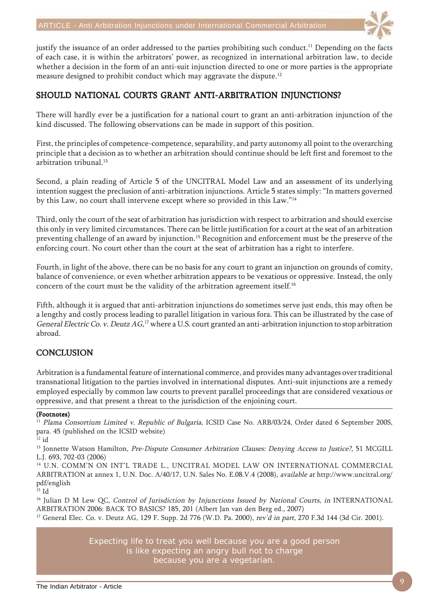

justify the issuance of an order addressed to the parties prohibiting such conduct.<sup>11</sup> Depending on the facts of each case, it is within the arbitrators' power, as recognized in international arbitration law, to decide whether a decision in the form of an anti-suit injunction directed to one or more parties is the appropriate measure designed to prohibit conduct which may aggravate the dispute.<sup>12</sup>

#### SHOULD NATIONAL COURTS GRANT ANTI-ARBITRATION INJUNCTIONS?

There will hardly ever be a justification for a national court to grant an anti-arbitration injunction of the kind discussed. The following observations can be made in support of this position.

First, the principles of competence-competence, separability, and party autonomy all point to the overarching principle that a decision as to whether an arbitration should continue should be left first and foremost to the  $arbitration$  tribunal<sup>13</sup>

Second, a plain reading of Article 5 of the UNCITRAL Model Law and an assessment of its underlying intention suggest the preclusion of anti-arbitration injunctions. Article 5 states simply: "In matters governed by this Law, no court shall intervene except where so provided in this Law."14

Third, only the court of the seat of arbitration has jurisdiction with respect to arbitration and should exercise this only in very limited circumstances. There can be little justification for a court at the seat of an arbitration preventing challenge of an award by injunction.15 Recognition and enforcement must be the preserve of the enforcing court. No court other than the court at the seat of arbitration has a right to interfere.

Fourth, in light of the above, there can be no basis for any court to grant an injunction on grounds of comity, balance of convenience, or even whether arbitration appears to be vexatious or oppressive. Instead, the only concern of the court must be the validity of the arbitration agreement itself.<sup>16</sup>

Fifth, although it is argued that anti-arbitration injunctions do sometimes serve just ends, this may often be a lengthy and costly process leading to parallel litigation in various fora. This can be illustrated by the case of General Electric Co. v. Deutz AG, $^{17}$  where a U.S. court granted an anti-arbitration injunction to stop arbitration abroad.

#### **CONCLUSION**

Arbitration is a fundamental feature of international commerce, and provides many advantages over traditional transnational litigation to the parties involved in international disputes. Anti-suit injunctions are a remedy employed especially by common law courts to prevent parallel proceedings that are considered vexatious or oppressive, and that present a threat to the jurisdiction of the enjoining court.

#### (Footnotes)

<sup>11</sup> Plama Consortium Limited v. Republic of Bulgaria, ICSID Case No. ARB/03/24, Order dated 6 September 200S, para. 45 (published on the ICSID website)

 $12$  id

<sup>13</sup> Jonnette Watson Hamilton, Pre-Dispute Consumer Arbitration Clauses: Denying Access to Justice?, 51 MCGILL L.J. 693, 702-03 (2006)

14 U.N. COMM'N ON INT'L TRADE L., UNCITRAL MODEL LAW ON INTERNATIONAL COMMERCIAL ARBITRATION at annex 1, U.N. Doc. A/40/17, U.N. Sales No. E.08.V.4 (2008), available at http://www.uncitral.org/ pdf/english

 $^{15}$  Id

<sup>16</sup> Julian D M Lew QC, Control of Jurisdiction by Injunctions Issued by National Courts, in INTERNATIONAL ARBITRATION 2006: BACK TO BASICS? 185, 201 (Albert Jan van den Berg ed., 2007)

<sup>17</sup> General Elec. Co. v. Deutz AG, 129 F. Supp. 2d 776 (W.D. Pa. 2000), rev'd in part, 270 F.3d 144 (3d Cir. 2001).

Expecting life to treat you well because you are a good person is like expecting an angry bull not to charge because you are a vegetarian.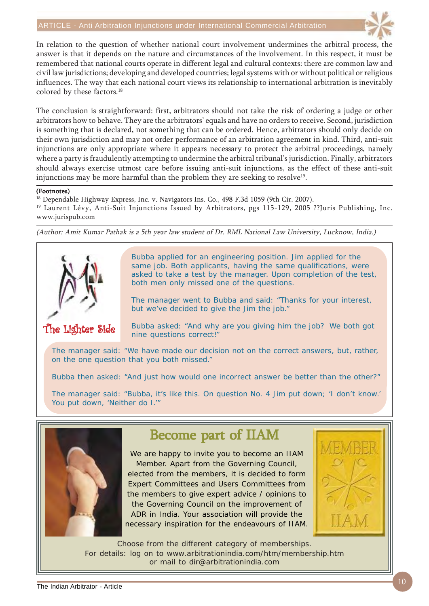

In relation to the question of whether national court involvement undermines the arbitral process, the answer is that it depends on the nature and circumstances of the involvement. In this respect, it must be remembered that national courts operate in different legal and cultural contexts: there are common law and civil law jurisdictions; developing and developed countries; legal systems with or without political or religious influences. The way that each national court views its relationship to international arbitration is inevitably colored by these factors.<sup>18</sup>

The conclusion is straightforward: first, arbitrators should not take the risk of ordering a judge or other arbitrators how to behave. They are the arbitrators' equals and have no orders to receive. Second, jurisdiction is something that is declared, not something that can be ordered. Hence, arbitrators should only decide on their own jurisdiction and may not order performance of an arbitration agreement in kind. Third, anti-suit injunctions are only appropriate where it appears necessary to protect the arbitral proceedings, namely where a party is fraudulently attempting to undermine the arbitral tribunal's jurisdiction. Finally, arbitrators should always exercise utmost care before issuing anti-suit injunctions, as the effect of these anti-suit injunctions may be more harmful than the problem they are seeking to resolve<sup>19</sup>.

#### (Footnotes)

<sup>18</sup> Dependable Highway Express, Inc. v. Navigators Ins. Co., 498 F.3d 1059 (9th Cir. 2007).

<sup>19</sup> Laurent Lévy, Anti-Suit Injunctions Issued by Arbitrators, pgs 115-129, 2005 ??Juris Publishing, Inc. www.jurispub.com

(Author: Amit Kumar Pathak is a 5th year law student of Dr. RML National Law University, Lucknow, India.)



Bubba applied for an engineering position. Jim applied for the same job. Both applicants, having the same qualifications, were asked to take a test by the manager. Upon completion of the test, both men only missed one of the questions.

The manager went to Bubba and said: "Thanks for your interest, but we've decided to give the Jim the job."

The Lighter Side

Bubba asked: "And why are you giving him the job? We both got nine questions correct!"

The manager said: "We have made our decision not on the correct answers, but, rather, on the one question that you both missed."

Bubba then asked: "And just how would one incorrect answer be better than the other?"

The manager said: "Bubba, it's like this. On question No. 4 Jim put down; 'I don't know.' You put down, 'Neither do I.'"



### Become part of IIAM

We are happy to invite you to become an IIAM Member. Apart from the Governing Council, elected from the members, it is decided to form Expert Committees and Users Committees from the members to give expert advice / opinions to the Governing Council on the improvement of ADR in India. Your association will provide the necessary inspiration for the endeavours of IIAM.



Choose from the different category of memberships. For details: log on to www.arbitrationindia.com/htm/membership.htm or mail to dir@arbitrationindia.com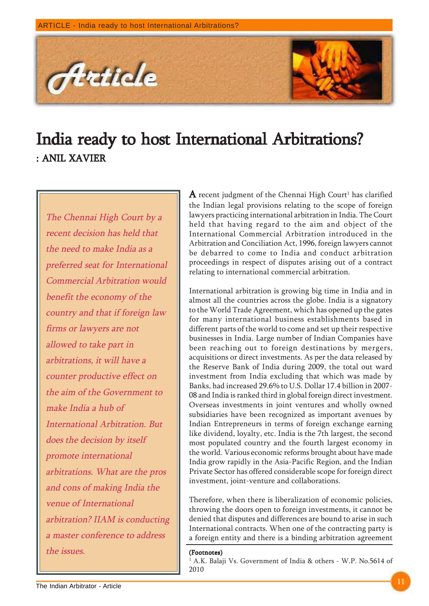

# India ready to host International Arbitrations? : ANIL XAVIER

The Chennai High Court by a recent decision has held that the need to make India as a preferred seat for International Commercial Arbitration would benefit the economy of the country and that if foreign law firms or lawyers are not allowed to take part in arbitrations, it will have a counter productive effect on the aim of the Government to make India a hub of International Arbitration. But does the decision by itself promote international arbitrations. What are the pros and cons of making India the venue of International arbitration? IIAM is conducting a master conference to address the issues. (Footnotes) and  $\blacksquare$ 

 ${\bf A}$  recent judgment of the Chennai High Court $^{\scriptscriptstyle 1}$  has clarified the Indian legal provisions relating to the scope of foreign lawyers practicing international arbitration in India. The Court held that having regard to the aim and object of the International Commercial Arbitration introduced in the Arbitration and Conciliation Act, 1996, foreign lawyers cannot be debarred to come to India and conduct arbitration proceedings in respect of disputes arising out of a contract relating to international commercial arbitration.

International arbitration is growing big time in India and in almost all the countries across the globe. India is a signatory to the World Trade Agreement, which has opened up the gates for many international business establishments based in different parts of the world to come and set up their respective businesses in India. Large number of Indian Companies have been reaching out to foreign destinations by mergers, acquisitions or direct investments. As per the data released by the Reserve Bank of India during 2009, the total out ward investment from India excluding that which was made by Banks, had increased 29.6% to U.S. Dollar 17.4 billion in 2007- 08 and India is ranked third in global foreign direct investment. Overseas investments in joint ventures and wholly owned subsidiaries have been recognized as important avenues by Indian Entrepreneurs in terms of foreign exchange earning like dividend, loyalty, etc. India is the 7th largest, the second most populated country and the fourth largest economy in the world. Various economic reforms brought about have made India grow rapidly in the Asia-Pacific Region, and the Indian Private Sector has offered considerable scope for foreign direct investment, joint-venture and collaborations.

Therefore, when there is liberalization of economic policies, throwing the doors open to foreign investments, it cannot be denied that disputes and differences are bound to arise in such International contracts. When one of the contracting party is a foreign entity and there is a binding arbitration agreement

1 A.K. Balaji Vs. Government of India & others - W.P. No.5614 of 2010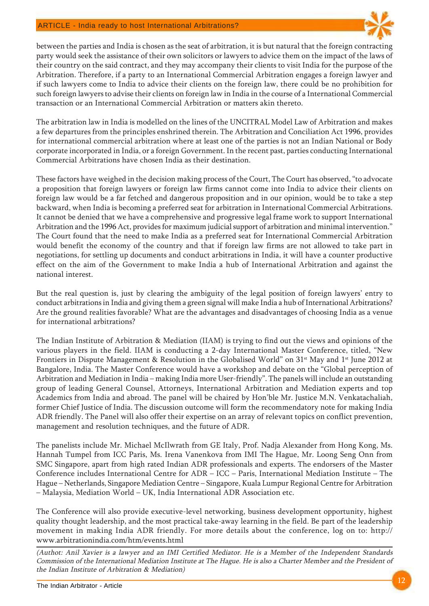

between the parties and India is chosen as the seat of arbitration, it is but natural that the foreign contracting party would seek the assistance of their own solicitors or lawyers to advice them on the impact of the laws of their country on the said contract, and they may accompany their clients to visit India for the purpose of the Arbitration. Therefore, if a party to an International Commercial Arbitration engages a foreign lawyer and if such lawyers come to India to advice their clients on the foreign law, there could be no prohibition for such foreign lawyers to advise their clients on foreign law in India in the course of a International Commercial transaction or an International Commercial Arbitration or matters akin thereto.

The arbitration law in India is modelled on the lines of the UNCITRAL Model Law of Arbitration and makes a few departures from the principles enshrined therein. The Arbitration and Conciliation Act 1996, provides for international commercial arbitration where at least one of the parties is not an Indian National or Body corporate incorporated in India, or a foreign Government. In the recent past, parties conducting International Commercial Arbitrations have chosen India as their destination.

These factors have weighed in the decision making process of the Court, The Court has observed, "to advocate a proposition that foreign lawyers or foreign law firms cannot come into India to advice their clients on foreign law would be a far fetched and dangerous proposition and in our opinion, would be to take a step backward, when India is becoming a preferred seat for arbitration in International Commercial Arbitrations. It cannot be denied that we have a comprehensive and progressive legal frame work to support International Arbitration and the 1996 Act, provides for maximum judicial support of arbitration and minimal intervention." The Court found that the need to make India as a preferred seat for International Commercial Arbitration would benefit the economy of the country and that if foreign law firms are not allowed to take part in negotiations, for settling up documents and conduct arbitrations in India, it will have a counter productive effect on the aim of the Government to make India a hub of International Arbitration and against the national interest.

But the real question is, just by clearing the ambiguity of the legal position of foreign lawyers' entry to conduct arbitrations in India and giving them a green signal will make India a hub of International Arbitrations? Are the ground realities favorable? What are the advantages and disadvantages of choosing India as a venue for international arbitrations?

The Indian Institute of Arbitration & Mediation (IIAM) is trying to find out the views and opinions of the various players in the field. IIAM is conducting a 2-day International Master Conference, titled, "New Frontiers in Dispute Management & Resolution in the Globalised World" on 31<sup>st</sup> May and 1<sup>st</sup> June 2012 at Bangalore, India. The Master Conference would have a workshop and debate on the "Global perception of Arbitration and Mediation in India – making India more User-friendly". The panels will include an outstanding group of leading General Counsel, Attorneys, International Arbitration and Mediation experts and top Academics from India and abroad. The panel will be chaired by Hon'ble Mr. Justice M.N. Venkatachaliah, former Chief Justice of India. The discussion outcome will form the recommendatory note for making India ADR friendly. The Panel will also offer their expertise on an array of relevant topics on conflict prevention, management and resolution techniques, and the future of ADR.

The panelists include Mr. Michael McIlwrath from GE Italy, Prof. Nadja Alexander from Hong Kong, Ms. Hannah Tumpel from ICC Paris, Ms. Irena Vanenkova from IMI The Hague, Mr. Loong Seng Onn from SMC Singapore, apart from high rated Indian ADR professionals and experts. The endorsers of the Master Conference includes International Centre for ADR – ICC – Paris, International Mediation Institute – The Hague – Netherlands, Singapore Mediation Centre – Singapore, Kuala Lumpur Regional Centre for Arbitration – Malaysia, Mediation World – UK, India International ADR Association etc.

The Conference will also provide executive-level networking, business development opportunity, highest quality thought leadership, and the most practical take-away learning in the field. Be part of the leadership movement in making India ADR friendly. For more details about the conference, log on to: http:// www.arbitrationindia.com/htm/events.html

(Authot: Anil Xavier is a lawyer and an IMI Certified Mediator. He is a Member of the Independent Standards Commission of the International Mediation Institute at The Hague. He is also a Charter Member and the President of the Indian Institute of Arbitration & Mediation)